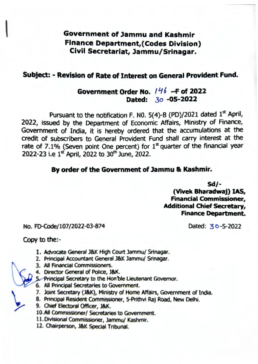## **Government of Jammu and Kashmir Finance Department, (Codes Division)** Civil Secretariat, Jammu/Srinagar.

## Subject: - Revision of Rate of Interest on General Provident Fund.

## Government Order No. 146 - F of 2022 Dated: 30 -05-2022

Pursuant to the notification F. N0. 5(4)-B (PD)/2021 dated 1st April, 2022, issued by the Department of Economic Affairs, Ministry of Finance, Government of India, it is hereby ordered that the accumulations at the credit of subscribers to General Provident Fund shall carry interest at the rate of 7.1% (Seven point One percent) for 1<sup>st</sup> quarter of the financial year 2022-23 i.e 1st April, 2022 to 30th June, 2022.

## By order of the Government of Jammu & Kashmir.

 $Sd/-$ (Vivek Bharadwai) IAS, **Financial Commissioner. Additional Chief Secretary. Finance Department.** 

No. FD-Code/107/2022-03-874

Dated: 30-5-2022

Copy to the:-

- 1. Advocate General J&K High Court Jammu/ Srinagar.
- 2. Principal Accountant General J&K Jammu/ Srinagar.
- 3. All Financial Commissioners.
- 4. Director General of Police, J&K.
- 5. Principal Secretary to the Hon'ble Lieutenant Governor.
- 6. All Principal Secretaries to Government.
- 7. Joint Secretary (J&K), Ministry of Home Affairs, Government of India.
- 8. Principal Resident Commissioner, 5-Prithvi Raj Road, New Delhi.
- 9. Chief Electoral Officer, J&K.
- 10. All Commissioner/ Secretaries to Government.
- 11. Divisional Commissioner, Jammu/ Kashmir.
- 12. Chairperson, J&K Special Tribunal.